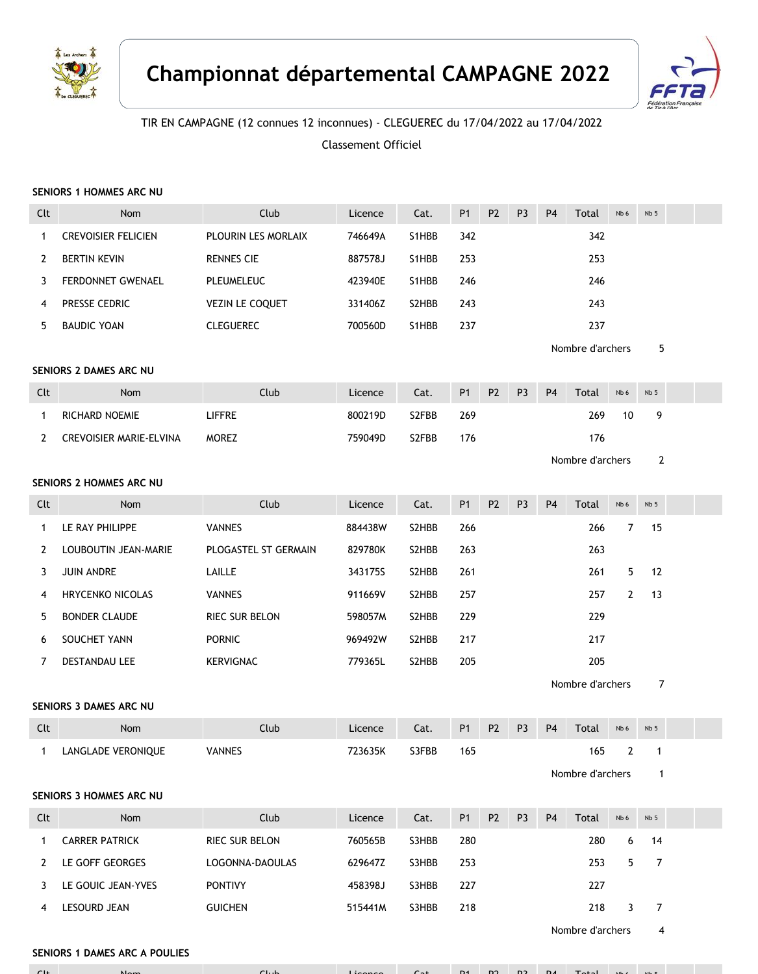



## TIR EN CAMPAGNE (12 connues 12 inconnues) - CLEGUEREC du 17/04/2022 au 17/04/2022

Classement Officiel

### **SENIORS 1 HOMMES ARC NU**

| Clt          | Nom                           | Club                   | Licence | Cat.  | P <sub>1</sub> | P <sub>2</sub> | P <sub>3</sub> | P <sub>4</sub> | Total            | Nb 6           | Nb <sub>5</sub> |  |
|--------------|-------------------------------|------------------------|---------|-------|----------------|----------------|----------------|----------------|------------------|----------------|-----------------|--|
| $\mathbf{1}$ | <b>CREVOISIER FELICIEN</b>    | PLOURIN LES MORLAIX    | 746649A | S1HBB | 342            |                |                |                | 342              |                |                 |  |
| 2            | <b>BERTIN KEVIN</b>           | <b>RENNES CIE</b>      | 887578J | S1HBB | 253            |                |                |                | 253              |                |                 |  |
| 3            | FERDONNET GWENAEL             | PLEUMELEUC             | 423940E | S1HBB | 246            |                |                |                | 246              |                |                 |  |
| 4            | PRESSE CEDRIC                 | <b>VEZIN LE COQUET</b> | 331406Z | S2HBB | 243            |                |                |                | 243              |                |                 |  |
| 5            | <b>BAUDIC YOAN</b>            | <b>CLEGUEREC</b>       | 700560D | S1HBB | 237            |                |                |                | 237              |                |                 |  |
|              |                               |                        |         |       |                |                |                |                | Nombre d'archers |                | 5               |  |
|              | SENIORS 2 DAMES ARC NU        |                        |         |       |                |                |                |                |                  |                |                 |  |
| Clt          | Nom                           | Club                   | Licence | Cat.  | P <sub>1</sub> | P <sub>2</sub> | P <sub>3</sub> | P <sub>4</sub> | Total            | Nb 6           | Nb 5            |  |
| 1            | RICHARD NOEMIE                | LIFFRE                 | 800219D | S2FBB | 269            |                |                |                | 269              | 10             | 9               |  |
| $\mathbf{2}$ | CREVOISIER MARIE-ELVINA       | <b>MOREZ</b>           | 759049D | S2FBB | 176            |                |                |                | 176              |                |                 |  |
|              |                               |                        |         |       |                |                |                |                | Nombre d'archers |                | $\overline{2}$  |  |
|              | SENIORS 2 HOMMES ARC NU       |                        |         |       |                |                |                |                |                  |                |                 |  |
| Clt          | Nom                           | Club                   | Licence | Cat.  | <b>P1</b>      | P <sub>2</sub> | P <sub>3</sub> | P <sub>4</sub> | Total            | Nb 6           | Nb 5            |  |
| 1            | LE RAY PHILIPPE               | <b>VANNES</b>          | 884438W | S2HBB | 266            |                |                |                | 266              | 7              | 15              |  |
| 2            | LOUBOUTIN JEAN-MARIE          | PLOGASTEL ST GERMAIN   | 829780K | S2HBB | 263            |                |                |                | 263              |                |                 |  |
| 3            | JUIN ANDRE                    | LAILLE                 | 343175S | S2HBB | 261            |                |                |                | 261              | 5              | 12              |  |
| 4            | <b>HRYCENKO NICOLAS</b>       | <b>VANNES</b>          | 911669V | S2HBB | 257            |                |                |                | 257              | $\overline{2}$ | 13              |  |
| 5            | <b>BONDER CLAUDE</b>          | RIEC SUR BELON         | 598057M | S2HBB | 229            |                |                |                | 229              |                |                 |  |
| 6            | SOUCHET YANN                  | <b>PORNIC</b>          | 969492W | S2HBB | 217            |                |                |                | 217              |                |                 |  |
| 7            | <b>DESTANDAU LEE</b>          | <b>KERVIGNAC</b>       | 779365L | S2HBB | 205            |                |                |                | 205              |                |                 |  |
|              |                               |                        |         |       |                |                |                |                | Nombre d'archers |                | 7               |  |
|              | SENIORS 3 DAMES ARC NU        |                        |         |       |                |                |                |                |                  |                |                 |  |
| Clt          | Nom                           | Club                   | Licence | Cat.  | <b>P1</b>      | P <sub>2</sub> | P <sub>3</sub> | P <sub>4</sub> | Total            | Nb 6           | Nb 5            |  |
| $\mathbf{1}$ | LANGLADE VERONIQUE            | <b>VANNES</b>          | 723635K | S3FBB | 165            |                |                |                | 165              | $\overline{2}$ | $\overline{1}$  |  |
|              |                               |                        |         |       |                |                |                |                | Nombre d'archers |                |                 |  |
|              | SENIORS 3 HOMMES ARC NU       |                        |         |       |                |                |                |                |                  |                |                 |  |
| Clt          | Nom                           | Club                   | Licence | Cat.  | <b>P1</b>      | P <sub>2</sub> | P <sub>3</sub> | P <sub>4</sub> | Total            | Nb 6           | Nb <sub>5</sub> |  |
| $\mathbf{1}$ | <b>CARRER PATRICK</b>         | RIEC SUR BELON         | 760565B | S3HBB | 280            |                |                |                | 280              | 6              | 14              |  |
| 2            | LE GOFF GEORGES               | LOGONNA-DAOULAS        | 629647Z | S3HBB | 253            |                |                |                | 253              | 5              | 7               |  |
| 3            | LE GOUIC JEAN-YVES            | <b>PONTIVY</b>         | 458398J | S3HBB | 227            |                |                |                | 227              |                |                 |  |
| 4            | LESOURD JEAN                  | <b>GUICHEN</b>         | 515441M | S3HBB | 218            |                |                |                | 218              | 3              | 7               |  |
|              |                               |                        |         |       |                |                |                |                | Nombre d'archers |                | 4               |  |
|              | SENIORS 1 DAMES ARC A POULIES |                        |         |       |                |                |                |                |                  |                |                 |  |

Clt Nom Club Licence Cat. P1 P2 P3 P4 Total Nb 6 Nb 5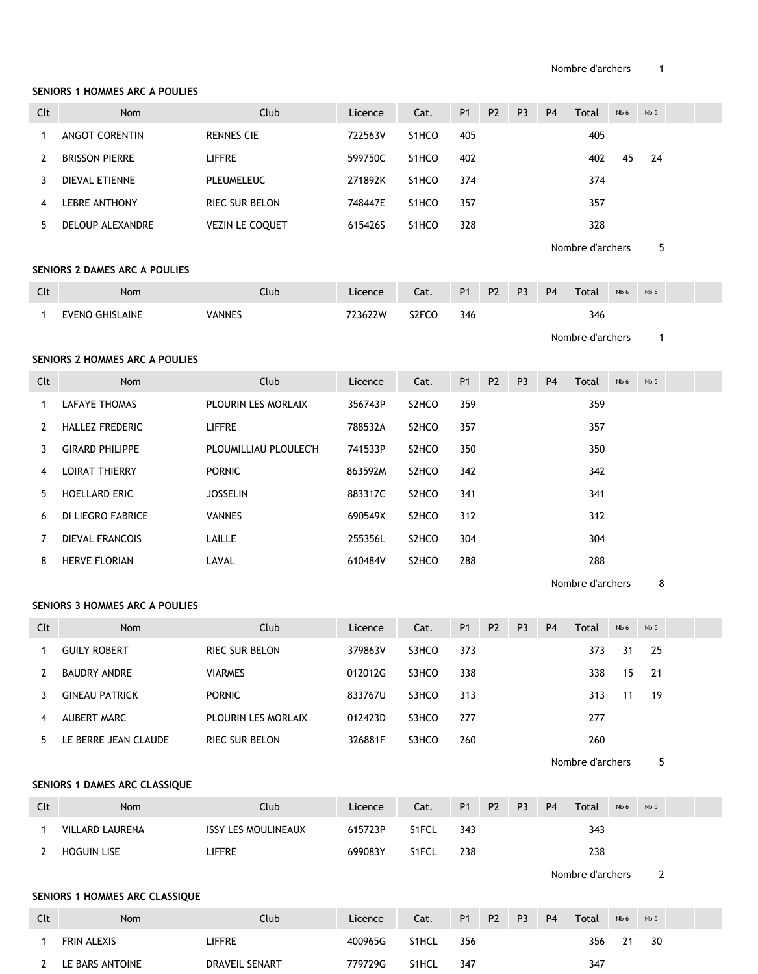#### **SENIORS 1 HOMMES ARC A POULIES**

| Clt          | Nom                            | Club                       | Licence | Cat.               | P <sub>1</sub> | P <sub>2</sub> | P <sub>3</sub> | P <sub>4</sub> | Total            | Nb 6 | Nb <sub>5</sub> |  |
|--------------|--------------------------------|----------------------------|---------|--------------------|----------------|----------------|----------------|----------------|------------------|------|-----------------|--|
| 1            | ANGOT CORENTIN                 | <b>RENNES CIE</b>          | 722563V | S1HCO              | 405            |                |                |                | 405              |      |                 |  |
| 2            | <b>BRISSON PIERRE</b>          | <b>LIFFRE</b>              | 599750C | S1HCO              | 402            |                |                |                | 402              | 45   | 24              |  |
| 3            | DIEVAL ETIENNE                 | <b>PLEUMELEUC</b>          | 271892K | S1HCO              | 374            |                |                |                | 374              |      |                 |  |
| 4            | LEBRE ANTHONY                  | RIEC SUR BELON             | 748447E | S1HCO              | 357            |                |                |                | 357              |      |                 |  |
| 5            | DELOUP ALEXANDRE               | VEZIN LE COQUET            | 615426S | S1HCO              | 328            |                |                |                | 328              |      |                 |  |
|              |                                |                            |         |                    |                |                |                |                | Nombre d'archers |      | 5               |  |
|              | SENIORS 2 DAMES ARC A POULIES  |                            |         |                    |                |                |                |                |                  |      |                 |  |
| Clt          | Nom                            | Club                       | Licence | Cat.               | <b>P1</b>      | P <sub>2</sub> | P <sub>3</sub> | P <sub>4</sub> | Total            | Nb 6 | Nb 5            |  |
| 1            | <b>EVENO GHISLAINE</b>         | <b>VANNES</b>              | 723622W | S2FCO              | 346            |                |                |                | 346              |      |                 |  |
|              |                                |                            |         |                    |                |                |                |                | Nombre d'archers |      | $\mathbf{1}$    |  |
|              | SENIORS 2 HOMMES ARC A POULIES |                            |         |                    |                |                |                |                |                  |      |                 |  |
| Clt          | Nom                            | Club                       | Licence | Cat.               | <b>P1</b>      | P <sub>2</sub> | P <sub>3</sub> | P <sub>4</sub> | Total            | Nb 6 | Nb <sub>5</sub> |  |
| 1            | <b>LAFAYE THOMAS</b>           | PLOURIN LES MORLAIX        | 356743P | S2HCO              | 359            |                |                |                | 359              |      |                 |  |
| 2            | HALLEZ FREDERIC                | LIFFRE                     | 788532A | S2HCO              | 357            |                |                |                | 357              |      |                 |  |
| 3            | <b>GIRARD PHILIPPE</b>         | PLOUMILLIAU PLOULEC'H      | 741533P | S2HCO              | 350            |                |                |                | 350              |      |                 |  |
| 4            | <b>LOIRAT THIERRY</b>          | <b>PORNIC</b>              | 863592M | S2HCO              | 342            |                |                |                | 342              |      |                 |  |
| 5            | HOELLARD ERIC                  | <b>JOSSELIN</b>            | 883317C | S2HCO              | 341            |                |                |                | 341              |      |                 |  |
| 6            | DI LIEGRO FABRICE              | <b>VANNES</b>              | 690549X | S <sub>2</sub> HCO | 312            |                |                |                | 312              |      |                 |  |
| 7            | DIEVAL FRANCOIS                | LAILLE                     | 255356L | S2HCO              | 304            |                |                |                | 304              |      |                 |  |
| 8            | HERVE FLORIAN                  | LAVAL                      | 610484V | S2HCO              | 288            |                |                |                | 288              |      |                 |  |
|              |                                |                            |         |                    |                |                |                |                | Nombre d'archers |      | 8               |  |
|              | SENIORS 3 HOMMES ARC A POULIES |                            |         |                    |                |                |                |                |                  |      |                 |  |
| Clt          | Nom                            | Club                       | Licence | Cat.               | <b>P1</b>      | P <sub>2</sub> | P <sub>3</sub> | P <sub>4</sub> | Total            | Nb 6 | Nb 5            |  |
| 1            | <b>GUILY ROBERT</b>            | RIEC SUR BELON             | 379863V | S3HCO              | 373            |                |                |                | 373              | 31   | 25              |  |
| $\mathbf{2}$ | <b>BAUDRY ANDRE</b>            | <b>VIARMES</b>             | 012012G | S3HCO              | 338            |                |                |                | 338              | 15   | 21              |  |
| 3            | <b>GINEAU PATRICK</b>          | <b>PORNIC</b>              | 833767U | S3HCO              | 313            |                |                |                | 313              | 11   | 19              |  |
| 4            | AUBERT MARC                    | PLOURIN LES MORLAIX        | 012423D | S3HCO              | 277            |                |                |                | 277              |      |                 |  |
| 5            | LE BERRE JEAN CLAUDE           | RIEC SUR BELON             | 326881F | S3HCO              | 260            |                |                |                | 260              |      |                 |  |
|              |                                |                            |         |                    |                |                |                |                | Nombre d'archers |      | 5               |  |
|              | SENIORS 1 DAMES ARC CLASSIQUE  |                            |         |                    |                |                |                |                |                  |      |                 |  |
| Clt          | Nom                            | Club                       | Licence | Cat.               | <b>P1</b>      | P <sub>2</sub> | P <sub>3</sub> | P <sub>4</sub> | Total            | Nb 6 | Nb 5            |  |
| 1            | VILLARD LAURENA                | <b>ISSY LES MOULINEAUX</b> | 615723P | S1FCL              | 343            |                |                |                | 343              |      |                 |  |
| 2            | <b>HOGUIN LISE</b>             | <b>LIFFRE</b>              | 699083Y | S1FCL              | 238            |                |                |                | 238              |      |                 |  |
|              |                                |                            |         |                    |                |                |                |                | Nombre d'archers |      | $\overline{2}$  |  |
|              | SENIORS 1 HOMMES ARC CLASSIQUE |                            |         |                    |                |                |                |                |                  |      |                 |  |
| Clt          | Nom                            | Club                       | Licence | Cat.               | P <sub>1</sub> | P <sub>2</sub> | P <sub>3</sub> | <b>P4</b>      | Total            | Nb 6 | Nb <sub>5</sub> |  |
| 1            | FRIN ALEXIS                    | <b>LIFFRE</b>              | 400965G | S1HCL              | 356            |                |                |                | 356              | 21   | 30              |  |
|              | 2 LE BARS ANTOINE              | DRAVEIL SENART             | 779729G | S1HCL              | 347            |                |                |                | 347              |      |                 |  |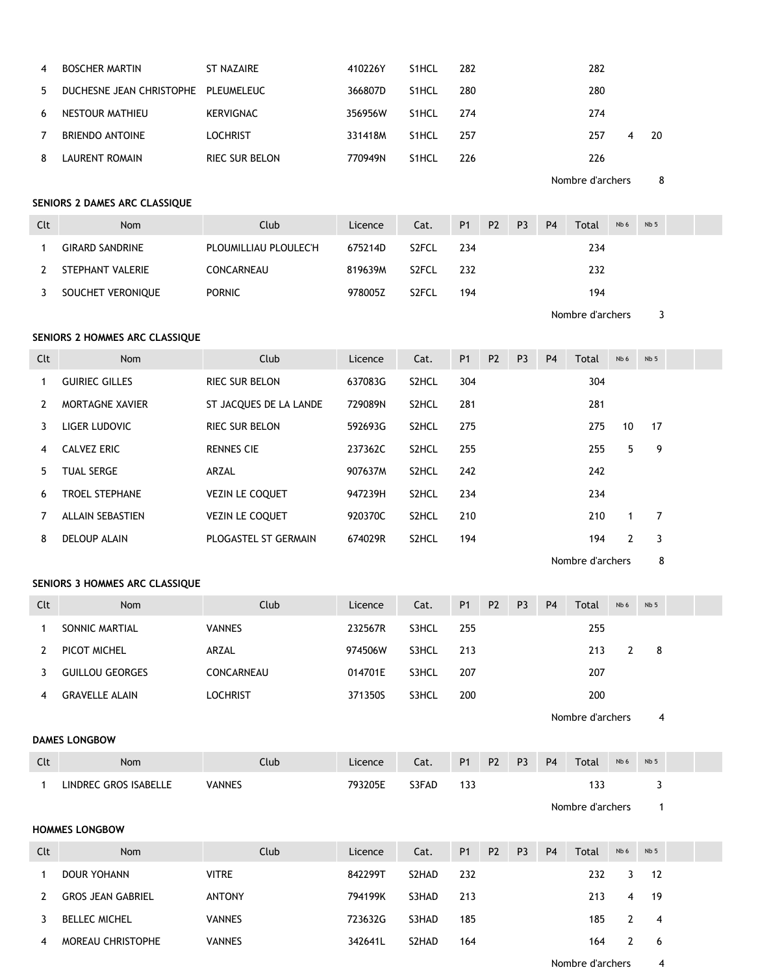| 4   | <b>BOSCHER MARTIN</b>               | ST NAZAIRE            | 410226Y | S <sub>1</sub> HCL | 282 | 282 |   |    |
|-----|-------------------------------------|-----------------------|---------|--------------------|-----|-----|---|----|
| .5. | DUCHESNE JEAN CHRISTOPHE PLEUMELEUC |                       | 366807D | S <sub>1</sub> HCL | 280 | 280 |   |    |
| 6   | NESTOUR MATHIEU                     | KERVIGNAC             | 356956W | S <sub>1</sub> HCL | 274 | 274 |   |    |
| 7   | <b>BRIENDO ANTOINE</b>              | <b>LOCHRIST</b>       | 331418M | S <sub>1</sub> HCL | 257 | 257 | 4 | 20 |
| 8   | LAURENT ROMAIN                      | <b>RIEC SUR BELON</b> | 770949N | S <sub>1</sub> HCL | 226 | 226 |   |    |
|     |                                     |                       |         |                    |     |     |   |    |

Nombre d'archers 8

## **SENIORS 2 DAMES ARC CLASSIQUE**

| Clt | <b>Nom</b>             | Club                  | Licence | Cat.               | <b>P1</b> | P <sub>2</sub> | P <sub>3</sub> | <b>P4</b> | Total | Nb 6 | Nb <sub>5</sub> |  |
|-----|------------------------|-----------------------|---------|--------------------|-----------|----------------|----------------|-----------|-------|------|-----------------|--|
|     | <b>GIRARD SANDRINE</b> | PLOUMILLIAU PLOULEC'H | 675214D | S <sub>2</sub> FCL | 234       |                |                |           | 234   |      |                 |  |
|     | STEPHANT VALERIE       | CONCARNEAU            | 819639M | S <sub>2</sub> FCL | 232       |                |                |           | 232   |      |                 |  |
|     | SOUCHET VERONIQUE      | <b>PORNIC</b>         | 978005Z | S <sub>2</sub> FCL | 194       |                |                |           | 194   |      |                 |  |

Nombre d'archers 3

## **SENIORS 2 HOMMES ARC CLASSIQUE**

| Clt | <b>Nom</b>              | Club                   | Licence | Cat.               | <b>P1</b> | P <sub>2</sub> | P <sub>3</sub> | <b>P4</b> | Total | Nb 6 | Nb <sub>5</sub> |  |
|-----|-------------------------|------------------------|---------|--------------------|-----------|----------------|----------------|-----------|-------|------|-----------------|--|
|     | <b>GUIRIEC GILLES</b>   | <b>RIEC SUR BELON</b>  | 637083G | S2HCL              | 304       |                |                |           | 304   |      |                 |  |
|     | <b>MORTAGNE XAVIER</b>  | ST JACQUES DE LA LANDE | 729089N | S <sub>2</sub> HCL | 281       |                |                |           | 281   |      |                 |  |
| 3   | LIGER LUDOVIC           | <b>RIEC SUR BELON</b>  | 592693G | S2HCL              | 275       |                |                |           | 275   | 10   | 17              |  |
| 4   | CALVEZ ERIC             | <b>RENNES CIE</b>      | 237362C | S2HCL              | 255       |                |                |           | 255   | 5    | 9               |  |
| 5.  | <b>TUAL SERGE</b>       | ARZAL                  | 907637M | S <sub>2</sub> HCL | 242       |                |                |           | 242   |      |                 |  |
| 6   | <b>TROEL STEPHANE</b>   | <b>VEZIN LE COQUET</b> | 947239H | S <sub>2</sub> HCL | 234       |                |                |           | 234   |      |                 |  |
|     | <b>ALLAIN SEBASTIEN</b> | <b>VEZIN LE COQUET</b> | 920370C | S2HCL              | 210       |                |                |           | 210   |      | 7               |  |
| 8   | DELOUP ALAIN            | PLOGASTEL ST GERMAIN   | 674029R | S <sub>2</sub> HCL | 194       |                |                |           | 194   | 2    | 3               |  |

Nombre d'archers 8

### **SENIORS 3 HOMMES ARC CLASSIQUE**

| Clt | <b>Nom</b>             | Club            | Licence | Cat.  | <b>P1</b> | <b>P2</b> | P <sub>3</sub> | P <sub>4</sub> | Total | Nb 6 | Nb <sub>5</sub> |  |
|-----|------------------------|-----------------|---------|-------|-----------|-----------|----------------|----------------|-------|------|-----------------|--|
|     | SONNIC MARTIAL         | <b>VANNES</b>   | 232567R | S3HCL | 255       |           |                |                | 255   |      |                 |  |
|     | PICOT MICHEL           | ARZAL           | 974506W | S3HCL | 213       |           |                |                | 213   |      | - 8             |  |
|     | <b>GUILLOU GEORGES</b> | CONCARNEAU      | 014701E | S3HCL | 207       |           |                |                | 207   |      |                 |  |
| 4   | <b>GRAVELLE ALAIN</b>  | <b>LOCHRIST</b> | 371350S | S3HCL | 200       |           |                |                | 200   |      |                 |  |
|     |                        |                 |         |       |           |           |                |                |       |      |                 |  |

Nombre d'archers 4

#### **DAMES LONGBOW**

| $\Gamma$<br>นเ | Nom                   | Club          | Licence | Cat.  | P <sub>1</sub> | P <sub>2</sub> | <b>P3</b> | <b>P4</b> | Total       | Nb 6 | Nb <sub>5</sub> |  |
|----------------|-----------------------|---------------|---------|-------|----------------|----------------|-----------|-----------|-------------|------|-----------------|--|
|                | LINDREC GROS ISABELLE | <b>VANNES</b> | 793205E | S3FAD |                |                |           |           | م م<br>ن ر. |      |                 |  |

Nombre d'archers 1

### **HOMMES LONGBOW**

| Clt | <b>Nom</b>               | Club          | Licence | Cat.  | <b>P1</b> | <b>P2</b> | P <sub>3</sub> | P <sub>4</sub> | Total            | Nb 6 | Nb <sub>5</sub> |  |
|-----|--------------------------|---------------|---------|-------|-----------|-----------|----------------|----------------|------------------|------|-----------------|--|
|     | <b>DOUR YOHANN</b>       | <b>VITRE</b>  | 842299T | S2HAD | 232       |           |                |                | 232              |      | -12             |  |
|     | <b>GROS JEAN GABRIEL</b> | <b>ANTONY</b> | 794199K | S3HAD | 213       |           |                |                | 213              | 4    | -19             |  |
|     | <b>BELLEC MICHEL</b>     | <b>VANNES</b> | 723632G | S3HAD | 185       |           |                |                | 185              |      | -4              |  |
| 4   | MOREAU CHRISTOPHE        | <b>VANNES</b> | 342641L | S2HAD | 164       |           |                |                | 164              |      | - 6             |  |
|     |                          |               |         |       |           |           |                |                | Nombre d'archers |      | 4               |  |